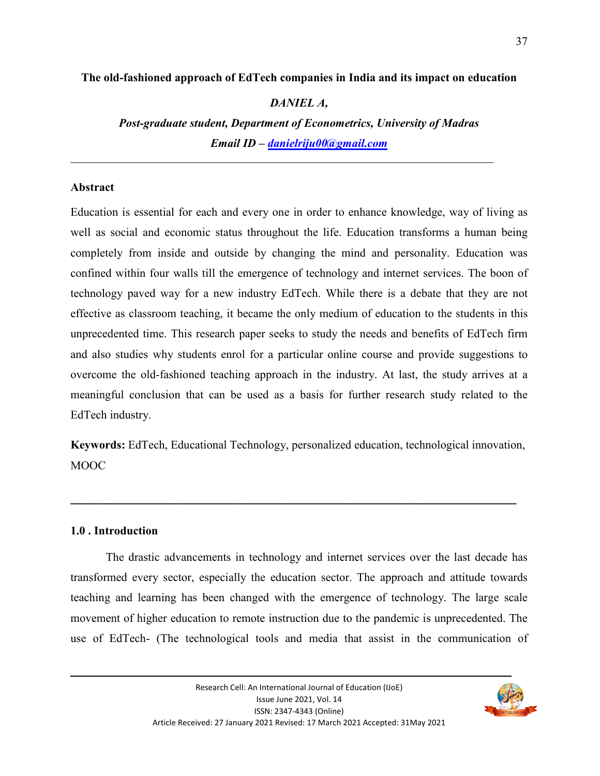### **The old-fashioned approach of EdTech companies in India and its impact on education**

### *DANIEL A,*

*Post-graduate student, Department of Econometrics, University of Madras Email ID – danielriju00@gmail.com*

### **Abstract**

Education is essential for each and every one in order to enhance knowledge, way of living as well as social and economic status throughout the life. Education transforms a human being completely from inside and outside by changing the mind and personality. Education was confined within four walls till the emergence of technology and internet services. The boon of technology paved way for a new industry EdTech. While there is a debate that they are not effective as classroom teaching, it became the only medium of education to the students in this unprecedented time. This research paper seeks to study the needs and benefits of EdTech firm and also studies why students enrol for a particular online course and provide suggestions to overcome the old-fashioned teaching approach in the industry. At last, the study arrives at a meaningful conclusion that can be used as a basis for further research study related to the EdTech industry.

**Keywords:** EdTech, Educational Technology, personalized education, technological innovation, MOOC

**\_\_\_\_\_\_\_\_\_\_\_\_\_\_\_\_\_\_\_\_\_\_\_\_\_\_\_\_\_\_\_\_\_\_\_\_\_\_\_\_\_\_\_\_\_\_\_\_\_\_\_\_\_\_\_\_\_\_\_\_\_\_\_\_\_**

#### **1.0 . Introduction**

 The drastic advancements in technology and internet services over the last decade has transformed every sector, especially the education sector. The approach and attitude towards teaching and learning has been changed with the emergence of technology. The large scale movement of higher education to remote instruction due to the pandemic is unprecedented. The use of EdTech- (The technological tools and media that assist in the communication of

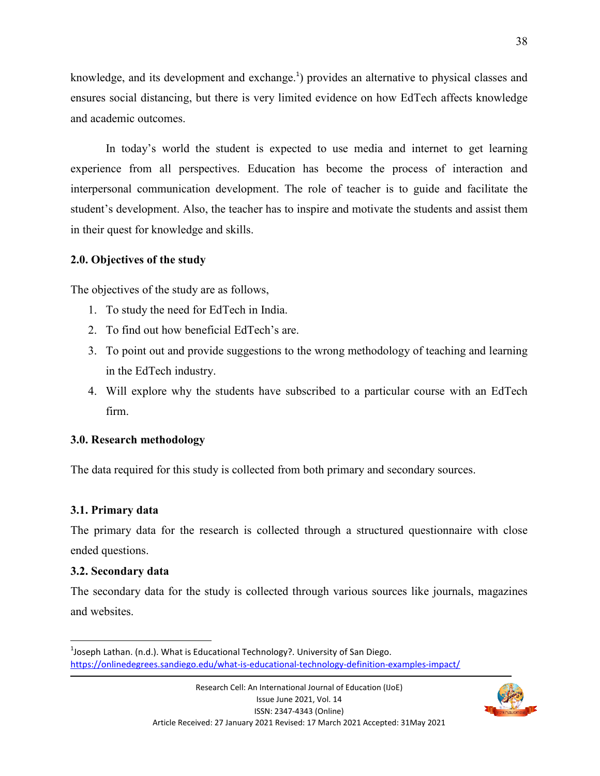knowledge, and its development and exchange.<sup>1</sup>) provides an alternative to physical classes and ensures social distancing, but there is very limited evidence on how EdTech affects knowledge and academic outcomes.

 In today's world the student is expected to use media and internet to get learning experience from all perspectives. Education has become the process of interaction and interpersonal communication development. The role of teacher is to guide and facilitate the student's development. Also, the teacher has to inspire and motivate the students and assist them in their quest for knowledge and skills.

## **2.0. Objectives of the study**

The objectives of the study are as follows,

- 1. To study the need for EdTech in India.
- 2. To find out how beneficial EdTech's are.
- 3. To point out and provide suggestions to the wrong methodology of teaching and learning in the EdTech industry.
- 4. Will explore why the students have subscribed to a particular course with an EdTech firm.

# **3.0. Research methodology**

The data required for this study is collected from both primary and secondary sources.

# **3.1. Primary data**

The primary data for the research is collected through a structured questionnaire with close ended questions.

# **3.2. Secondary data**

.<br>-

The secondary data for the study is collected through various sources like journals, magazines and websites.



 $^{1}$ Joseph Lathan. (n.d.). What is Educational Technology?. University of San Diego. https://onlinedegrees.sandiego.edu/what-is-educational-technology-definition-examples-impact/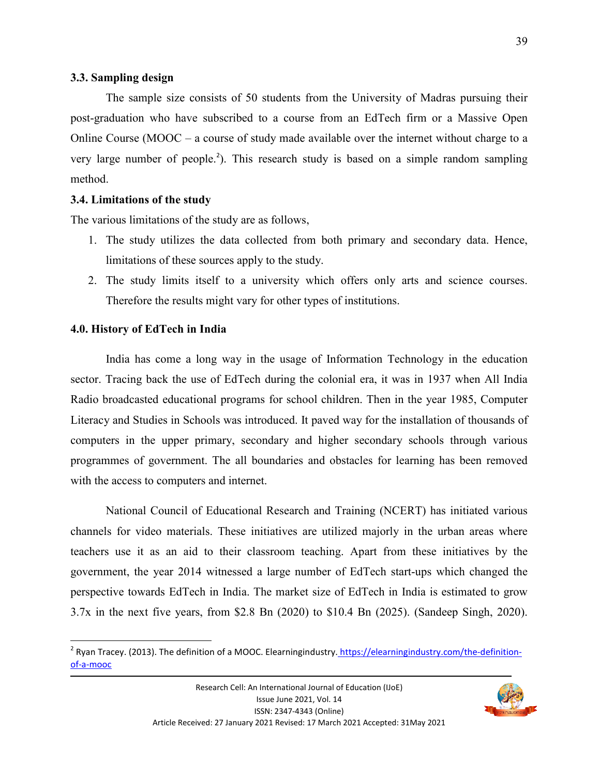#### **3.3. Sampling design**

 The sample size consists of 50 students from the University of Madras pursuing their post-graduation who have subscribed to a course from an EdTech firm or a Massive Open Online Course (MOOC – a course of study made available over the internet without charge to a very large number of people.<sup>2</sup>). This research study is based on a simple random sampling method.

#### **3.4. Limitations of the study**

The various limitations of the study are as follows,

- 1. The study utilizes the data collected from both primary and secondary data. Hence, limitations of these sources apply to the study.
- 2. The study limits itself to a university which offers only arts and science courses. Therefore the results might vary for other types of institutions.

#### **4.0. History of EdTech in India**

.<br>-

 India has come a long way in the usage of Information Technology in the education sector. Tracing back the use of EdTech during the colonial era, it was in 1937 when All India Radio broadcasted educational programs for school children. Then in the year 1985, Computer Literacy and Studies in Schools was introduced. It paved way for the installation of thousands of computers in the upper primary, secondary and higher secondary schools through various programmes of government. The all boundaries and obstacles for learning has been removed with the access to computers and internet.

 National Council of Educational Research and Training (NCERT) has initiated various channels for video materials. These initiatives are utilized majorly in the urban areas where teachers use it as an aid to their classroom teaching. Apart from these initiatives by the government, the year 2014 witnessed a large number of EdTech start-ups which changed the perspective towards EdTech in India. The market size of EdTech in India is estimated to grow 3.7x in the next five years, from \$2.8 Bn (2020) to \$10.4 Bn (2025). (Sandeep Singh, 2020).



<sup>&</sup>lt;sup>2</sup> Ryan Tracey. (2013). The definition of a MOOC. Elearningindustry. https://elearningindustry.com/the-definitionof-a-mooc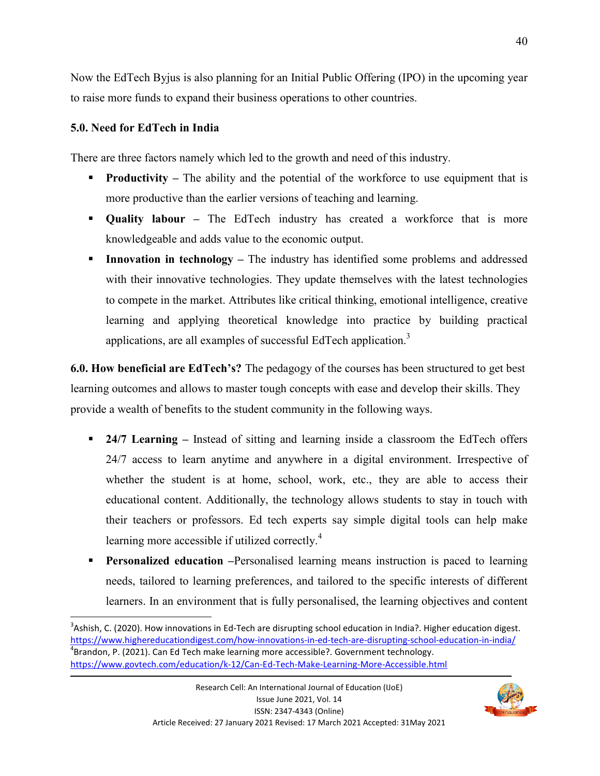Now the EdTech Byjus is also planning for an Initial Public Offering (IPO) in the upcoming year to raise more funds to expand their business operations to other countries.

## **5.0. Need for EdTech in India**

.<br>-

There are three factors namely which led to the growth and need of this industry.

- **Productivity** The ability and the potential of the workforce to use equipment that is more productive than the earlier versions of teaching and learning.
- **Quality labour –** The EdTech industry has created a workforce that is more knowledgeable and adds value to the economic output.
- **Innovation in technology** The industry has identified some problems and addressed with their innovative technologies. They update themselves with the latest technologies to compete in the market. Attributes like critical thinking, emotional intelligence, creative learning and applying theoretical knowledge into practice by building practical applications, are all examples of successful EdTech application.<sup>3</sup>

**6.0. How beneficial are EdTech's?** The pedagogy of the courses has been structured to get best learning outcomes and allows to master tough concepts with ease and develop their skills. They provide a wealth of benefits to the student community in the following ways.

- **24/7 Learning Instead of sitting and learning inside a classroom the EdTech offers** 24/7 access to learn anytime and anywhere in a digital environment. Irrespective of whether the student is at home, school, work, etc., they are able to access their educational content. Additionally, the technology allows students to stay in touch with their teachers or professors. Ed tech experts say simple digital tools can help make learning more accessible if utilized correctly.<sup>4</sup>
- **Personalized education** –Personalised learning means instruction is paced to learning needs, tailored to learning preferences, and tailored to the specific interests of different learners. In an environment that is fully personalised, the learning objectives and content



 $3$ Ashish, C. (2020). How innovations in Ed-Tech are disrupting school education in India?. Higher education digest. https://www.highereducationdigest.com/how-innovations-in-ed-tech-are-disrupting-school-education-in-india/ <sup>4</sup>Brandon, P. (2021). Can Ed Tech make learning more accessible?. Government technology. https://www.govtech.com/education/k-12/Can-Ed-Tech-Make-Learning-More-Accessible.html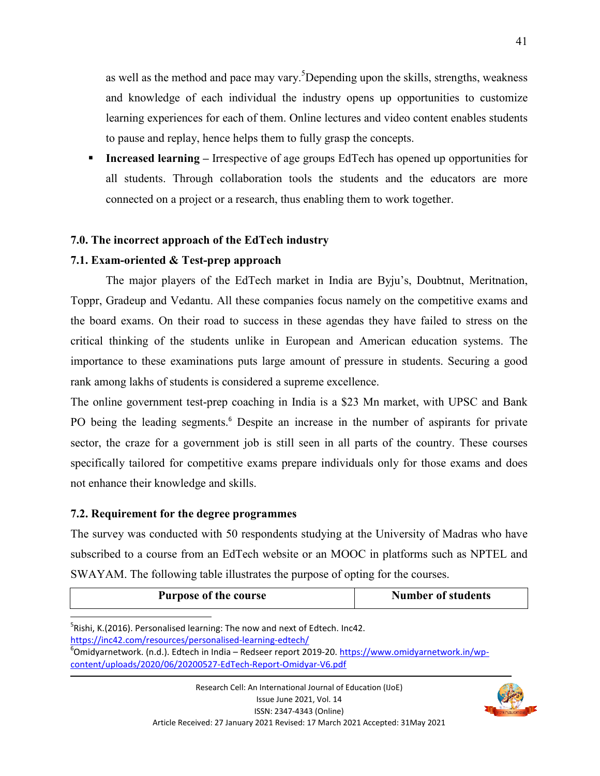as well as the method and pace may vary.<sup>5</sup>Depending upon the skills, strengths, weakness and knowledge of each individual the industry opens up opportunities to customize learning experiences for each of them. Online lectures and video content enables students to pause and replay, hence helps them to fully grasp the concepts.

 **Increased learning –** Irrespective of age groups EdTech has opened up opportunities for all students. Through collaboration tools the students and the educators are more connected on a project or a research, thus enabling them to work together.

## **7.0. The incorrect approach of the EdTech industry**

## **7.1. Exam-oriented & Test-prep approach**

 The major players of the EdTech market in India are Byju's, Doubtnut, Meritnation, Toppr, Gradeup and Vedantu. All these companies focus namely on the competitive exams and the board exams. On their road to success in these agendas they have failed to stress on the critical thinking of the students unlike in European and American education systems. The importance to these examinations puts large amount of pressure in students. Securing a good rank among lakhs of students is considered a supreme excellence.

The online government test-prep coaching in India is a \$23 Mn market, with UPSC and Bank PO being the leading segments.<sup>6</sup> Despite an increase in the number of aspirants for private sector, the craze for a government job is still seen in all parts of the country. These courses specifically tailored for competitive exams prepare individuals only for those exams and does not enhance their knowledge and skills.

## **7.2. Requirement for the degree programmes**

.<br>-

The survey was conducted with 50 respondents studying at the University of Madras who have subscribed to a course from an EdTech website or an MOOC in platforms such as NPTEL and SWAYAM. The following table illustrates the purpose of opting for the courses.

| <b>Purpose of the course</b> | <b>Number of students</b> |
|------------------------------|---------------------------|
|                              |                           |

 $5$ Rishi, K.(2016). Personalised learning: The now and next of Edtech. Inc42. https://inc42.com/resources/personalised-learning-edtech/



<sup>&</sup>lt;sup>6</sup>Omidyarnetwork. (n.d.). Edtech in India – Redseer report 2019-20. https://www.omidyarnetwork.in/wpcontent/uploads/2020/06/20200527-EdTech-Report-Omidyar-V6.pdf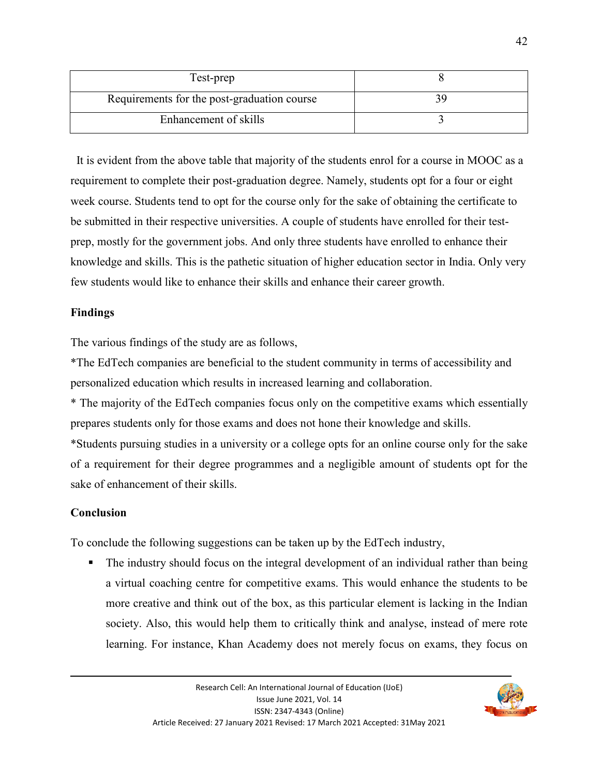| Test-prep                                   |  |
|---------------------------------------------|--|
| Requirements for the post-graduation course |  |
| Enhancement of skills                       |  |

 It is evident from the above table that majority of the students enrol for a course in MOOC as a requirement to complete their post-graduation degree. Namely, students opt for a four or eight week course. Students tend to opt for the course only for the sake of obtaining the certificate to be submitted in their respective universities. A couple of students have enrolled for their testprep, mostly for the government jobs. And only three students have enrolled to enhance their knowledge and skills. This is the pathetic situation of higher education sector in India. Only very few students would like to enhance their skills and enhance their career growth.

## **Findings**

The various findings of the study are as follows,

\*The EdTech companies are beneficial to the student community in terms of accessibility and personalized education which results in increased learning and collaboration.

\* The majority of the EdTech companies focus only on the competitive exams which essentially prepares students only for those exams and does not hone their knowledge and skills.

\*Students pursuing studies in a university or a college opts for an online course only for the sake of a requirement for their degree programmes and a negligible amount of students opt for the sake of enhancement of their skills.

## **Conclusion**

To conclude the following suggestions can be taken up by the EdTech industry,

• The industry should focus on the integral development of an individual rather than being a virtual coaching centre for competitive exams. This would enhance the students to be more creative and think out of the box, as this particular element is lacking in the Indian society. Also, this would help them to critically think and analyse, instead of mere rote learning. For instance, Khan Academy does not merely focus on exams, they focus on

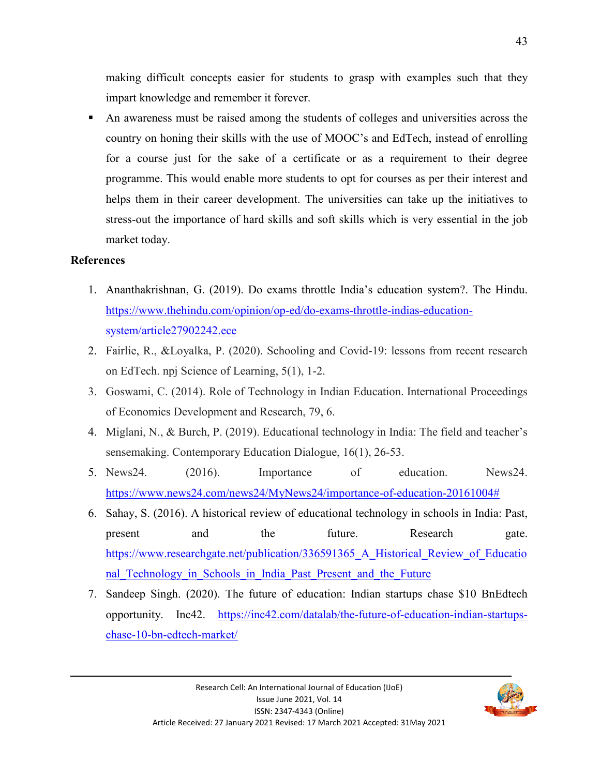making difficult concepts easier for students to grasp with examples such that they impart knowledge and remember it forever.

 An awareness must be raised among the students of colleges and universities across the country on honing their skills with the use of MOOC's and EdTech, instead of enrolling for a course just for the sake of a certificate or as a requirement to their degree programme. This would enable more students to opt for courses as per their interest and helps them in their career development. The universities can take up the initiatives to stress-out the importance of hard skills and soft skills which is very essential in the job market today.

### **References**

- 1. Ananthakrishnan, G. (2019). Do exams throttle India's education system?. The Hindu. https://www.thehindu.com/opinion/op-ed/do-exams-throttle-indias-educationsystem/article27902242.ece
- 2. Fairlie, R., &Loyalka, P. (2020). Schooling and Covid-19: lessons from recent research on EdTech. npj Science of Learning, 5(1), 1-2.
- 3. Goswami, C. (2014). Role of Technology in Indian Education. International Proceedings of Economics Development and Research, 79, 6.
- 4. Miglani, N., & Burch, P. (2019). Educational technology in India: The field and teacher's sensemaking. Contemporary Education Dialogue, 16(1), 26-53.
- 5. News24. (2016). Importance of education. News24. https://www.news24.com/news24/MyNews24/importance-of-education-20161004#
- 6. Sahay, S. (2016). A historical review of educational technology in schools in India: Past, present and the future. Research gate. https://www.researchgate.net/publication/336591365\_A\_Historical\_Review\_of\_Educatio nal Technology in Schools in India Past Present and the Future
- 7. Sandeep Singh. (2020). The future of education: Indian startups chase \$10 BnEdtech opportunity. Inc42. https://inc42.com/datalab/the-future-of-education-indian-startupschase-10-bn-edtech-market/